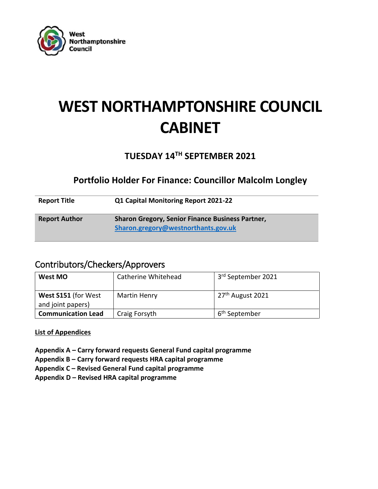

# **WEST NORTHAMPTONSHIRE COUNCIL CABINET**

# **TUESDAY 14TH SEPTEMBER 2021**

# **Portfolio Holder For Finance: Councillor Malcolm Longley**

| <b>Report Title</b>  | Q1 Capital Monitoring Report 2021-22                                                           |
|----------------------|------------------------------------------------------------------------------------------------|
| <b>Report Author</b> | <b>Sharon Gregory, Senior Finance Business Partner,</b><br>Sharon.gregory@westnorthants.gov.uk |

# Contributors/Checkers/Approvers

| West MO                                  | Catherine Whitehead | 3rd September 2021           |
|------------------------------------------|---------------------|------------------------------|
| West S151 (for West<br>and joint papers) | Martin Henry        | 27 <sup>th</sup> August 2021 |
| <b>Communication Lead</b>                | Craig Forsyth       | 6 <sup>th</sup> September    |

# **List of Appendices**

- **Appendix A – Carry forward requests General Fund capital programme**
- **Appendix B – Carry forward requests HRA capital programme**
- **Appendix C – Revised General Fund capital programme**
- **Appendix D – Revised HRA capital programme**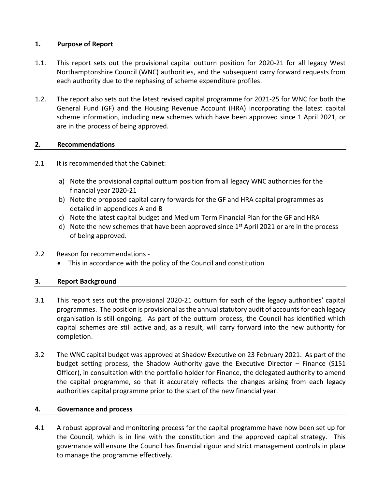#### **1. Purpose of Report**

- 1.1. This report sets out the provisional capital outturn position for 2020-21 for all legacy West Northamptonshire Council (WNC) authorities, and the subsequent carry forward requests from each authority due to the rephasing of scheme expenditure profiles.
- 1.2. The report also sets out the latest revised capital programme for 2021-25 for WNC for both the General Fund (GF) and the Housing Revenue Account (HRA) incorporating the latest capital scheme information, including new schemes which have been approved since 1 April 2021, or are in the process of being approved.

#### **2. Recommendations**

- 2.1 It is recommended that the Cabinet:
	- a) Note the provisional capital outturn position from all legacy WNC authorities for the financial year 2020-21
	- b) Note the proposed capital carry forwards for the GF and HRA capital programmes as detailed in appendices A and B
	- c) Note the latest capital budget and Medium Term Financial Plan for the GF and HRA
	- d) Note the new schemes that have been approved since  $1<sup>st</sup>$  April 2021 or are in the process of being approved.
- 2.2 Reason for recommendations
	- This in accordance with the policy of the Council and constitution

# **3. Report Background**

- 3.1 This report sets out the provisional 2020-21 outturn for each of the legacy authorities' capital programmes. The position is provisional asthe annual statutory audit of accounts for each legacy organisation is still ongoing. As part of the outturn process, the Council has identified which capital schemes are still active and, as a result, will carry forward into the new authority for completion.
- 3.2 The WNC capital budget was approved at Shadow Executive on 23 February 2021. As part of the budget setting process, the Shadow Authority gave the Executive Director – Finance (S151 Officer), in consultation with the portfolio holder for Finance, the delegated authority to amend the capital programme, so that it accurately reflects the changes arising from each legacy authorities capital programme prior to the start of the new financial year.

#### **4. Governance and process**

4.1 A robust approval and monitoring process for the capital programme have now been set up for the Council, which is in line with the constitution and the approved capital strategy. This governance will ensure the Council has financial rigour and strict management controls in place to manage the programme effectively.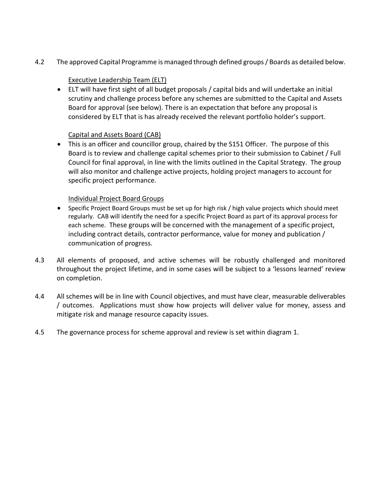4.2 The approved Capital Programme is managed through defined groups / Boards as detailed below.

# Executive Leadership Team (ELT)

 ELT will have first sight of all budget proposals / capital bids and will undertake an initial scrutiny and challenge process before any schemes are submitted to the Capital and Assets Board for approval (see below). There is an expectation that before any proposal is considered by ELT that is has already received the relevant portfolio holder's support.

# Capital and Assets Board (CAB)

 This is an officer and councillor group, chaired by the S151 Officer. The purpose of this Board is to review and challenge capital schemes prior to their submission to Cabinet / Full Council for final approval, in line with the limits outlined in the Capital Strategy. The group will also monitor and challenge active projects, holding project managers to account for specific project performance.

# Individual Project Board Groups

- Specific Project Board Groups must be set up for high risk / high value projects which should meet regularly. CAB will identify the need for a specific Project Board as part of its approval process for each scheme. These groups will be concerned with the management of a specific project, including contract details, contractor performance, value for money and publication / communication of progress.
- 4.3 All elements of proposed, and active schemes will be robustly challenged and monitored throughout the project lifetime, and in some cases will be subject to a 'lessons learned' review on completion.
- 4.4 All schemes will be in line with Council objectives, and must have clear, measurable deliverables / outcomes. Applications must show how projects will deliver value for money, assess and mitigate risk and manage resource capacity issues.
- 4.5 The governance process for scheme approval and review is set within diagram 1.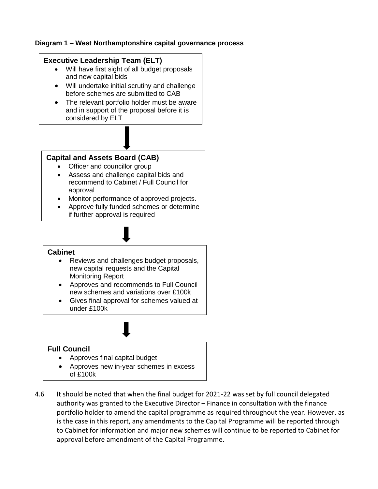#### **Diagram 1 – West Northamptonshire capital governance process**

# **Executive Leadership Team (ELT)**

- Will have first sight of all budget proposals and new capital bids
- Will undertake initial scrutiny and challenge before schemes are submitted to CAB
- The relevant portfolio holder must be aware and in support of the proposal before it is considered by ELT

# **Capital and Assets Board (CAB)**

- Officer and councillor group
- Assess and challenge capital bids and recommend to Cabinet / Full Council for approval
- Monitor performance of approved projects.
- Approve fully funded schemes or determine if further approval is required

# **Cabinet**

- Reviews and challenges budget proposals, new capital requests and the Capital Monitoring Report
- Approves and recommends to Full Council new schemes and variations over £100k
- Gives final approval for schemes valued at under £100k

# **Full Council**

- Approves final capital budget
- Approves new in-year schemes in excess of £100k
- 4.6 It should be noted that when the final budget for 2021-22 was set by full council delegated authority was granted to the Executive Director – Finance in consultation with the finance portfolio holder to amend the capital programme as required throughout the year. However, as is the case in this report, any amendments to the Capital Programme will be reported through to Cabinet for information and major new schemes will continue to be reported to Cabinet for approval before amendment of the Capital Programme.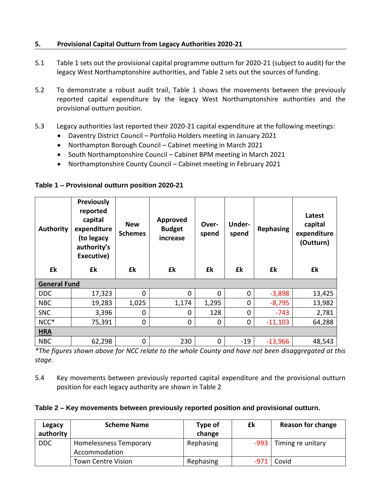# **5. Provisional Capital Outturn from Legacy Authorities 2020-21**

- 5.1 Table 1 sets out the provisional capital programme outturn for 2020-21 (subject to audit) for the legacy West Northamptonshire authorities, and Table 2 sets out the sources of funding.
- 5.2 To demonstrate a robust audit trail, Table 1 shows the movements between the previously reported capital expenditure by the legacy West Northamptonshire authorities and the provisional outturn position.
- 5.3 Legacy authorities last reported their 2020-21 capital expenditure at the following meetings:
	- Daventry District Council Portfolio Holders meeting in January 2021
	- Northampton Borough Council Cabinet meeting in March 2021
	- South Northamptonshire Council Cabinet BPM meeting in March 2021
	- Northamptonshire County Council Cabinet meeting in February 2021

| <b>Authority</b>    | <b>Previously</b><br>reported<br>capital<br>expenditure<br>(to legacy<br>authority's<br>Executive) | <b>New</b><br><b>Schemes</b> | <b>Approved</b><br><b>Budget</b><br>increase | Over-<br>spend | Under-<br>spend | <b>Rephasing</b> | Latest<br>capital<br>expenditure<br>(Outturn) |
|---------------------|----------------------------------------------------------------------------------------------------|------------------------------|----------------------------------------------|----------------|-----------------|------------------|-----------------------------------------------|
| £k                  | £k                                                                                                 | £k                           | £k                                           | £k             | £k              | £k               | £k                                            |
| <b>General Fund</b> |                                                                                                    |                              |                                              |                |                 |                  |                                               |
| <b>DDC</b>          |                                                                                                    |                              |                                              |                |                 |                  |                                               |
|                     | 17,323                                                                                             | 0                            | 0                                            | $\Omega$       | 0               | $-3,898$         | 13,425                                        |
| <b>NBC</b>          | 19,283                                                                                             | 1,025                        | 1,174                                        | 1,295          | 0               | $-8,795$         | 13,982                                        |
| <b>SNC</b>          | 3,396                                                                                              | $\overline{0}$               | 0                                            | 128            | 0               | $-743$           | 2,781                                         |
| NCC*                | 75,391                                                                                             | 0                            | 0                                            | 0              | 0               | $-11,103$        | 64,288                                        |
| <b>HRA</b>          |                                                                                                    |                              |                                              |                |                 |                  |                                               |

#### **Table 1 – Provisional outturn position 2020-21**

*\*The figures shown above for NCC relate to the whole County and have not been disaggregated at this stage.*

5.4 Key movements between previously reported capital expenditure and the provisional outturn position for each legacy authority are shown in Table 2

#### **Table 2 – Key movements between previously reported position and provisional outturn.**

| Legacy<br>authority | <b>Scheme Name</b>                      | Type of<br>change | £k | <b>Reason for change</b> |
|---------------------|-----------------------------------------|-------------------|----|--------------------------|
| <b>DDC</b>          | Homelessness Temporary<br>Accommodation | Rephasing         |    | $-993$ Timing re unitary |
|                     | <b>Town Centre Vision</b>               | Rephasing         |    | -971 Covid               |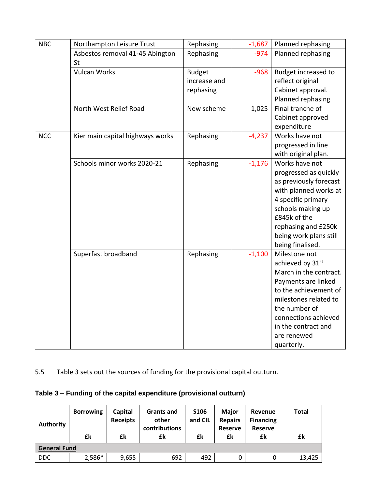| <b>NBC</b> | Northampton Leisure Trust             | Rephasing     | $-1,687$ | Planned rephasing      |
|------------|---------------------------------------|---------------|----------|------------------------|
|            | Asbestos removal 41-45 Abington<br>St | Rephasing     | $-974$   | Planned rephasing      |
|            | <b>Vulcan Works</b>                   | <b>Budget</b> | $-968$   | Budget increased to    |
|            |                                       | increase and  |          | reflect original       |
|            |                                       | rephasing     |          | Cabinet approval.      |
|            |                                       |               |          | Planned rephasing      |
|            | North West Relief Road                | New scheme    | 1,025    | Final tranche of       |
|            |                                       |               |          | Cabinet approved       |
|            |                                       |               |          | expenditure            |
| <b>NCC</b> | Kier main capital highways works      | Rephasing     | $-4,237$ | Works have not         |
|            |                                       |               |          | progressed in line     |
|            |                                       |               |          | with original plan.    |
|            | Schools minor works 2020-21           | Rephasing     | $-1,176$ | Works have not         |
|            |                                       |               |          | progressed as quickly  |
|            |                                       |               |          | as previously forecast |
|            |                                       |               |          | with planned works at  |
|            |                                       |               |          | 4 specific primary     |
|            |                                       |               |          | schools making up      |
|            |                                       |               |          | £845k of the           |
|            |                                       |               |          | rephasing and £250k    |
|            |                                       |               |          | being work plans still |
|            |                                       |               |          | being finalised.       |
|            | Superfast broadband                   | Rephasing     | $-1,100$ | Milestone not          |
|            |                                       |               |          | achieved by 31st       |
|            |                                       |               |          | March in the contract. |
|            |                                       |               |          | Payments are linked    |
|            |                                       |               |          | to the achievement of  |
|            |                                       |               |          | milestones related to  |
|            |                                       |               |          | the number of          |
|            |                                       |               |          | connections achieved   |
|            |                                       |               |          | in the contract and    |
|            |                                       |               |          | are renewed            |
|            |                                       |               |          | quarterly.             |

5.5 Table 3 sets out the sources of funding for the provisional capital outturn.

# **Table 3 – Funding of the capital expenditure (provisional outturn)**

| Authority           | <b>Borrowing</b><br>£k | Capital<br><b>Receipts</b><br>£k | <b>Grants and</b><br>other<br>contributions<br>£k | <b>S106</b><br>and CIL<br>£k | <b>Major</b><br><b>Repairs</b><br><b>Reserve</b><br>£k | Revenue<br><b>Financing</b><br><b>Reserve</b><br>£k | <b>Total</b><br>£k |
|---------------------|------------------------|----------------------------------|---------------------------------------------------|------------------------------|--------------------------------------------------------|-----------------------------------------------------|--------------------|
| <b>General Fund</b> |                        |                                  |                                                   |                              |                                                        |                                                     |                    |
| <b>DDC</b>          | 2,586*                 | 9,655                            | 692                                               | 492                          | 0                                                      | 0                                                   | 13,425             |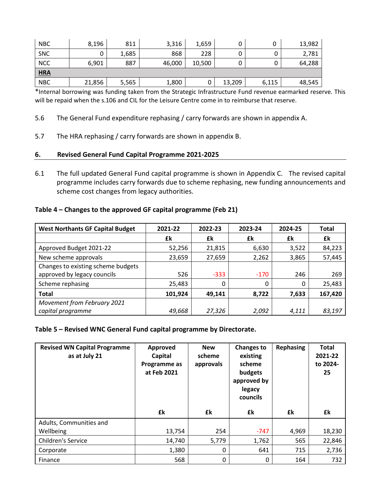| <b>NBC</b> | 8,196  | 811   | 3,316  | 1,659  |        | 0     | 13,982 |
|------------|--------|-------|--------|--------|--------|-------|--------|
| SNC        |        | 1,685 | 868    | 228    |        |       | 2,781  |
| <b>NCC</b> | 6,901  | 887   | 46,000 | 10,500 |        |       | 64,288 |
| <b>HRA</b> |        |       |        |        |        |       |        |
| <b>NBC</b> | 21,856 | 5,565 | 1,800  | U      | 13,209 | 6,115 | 48,545 |

\*Internal borrowing was funding taken from the Strategic Infrastructure Fund revenue earmarked reserve. This will be repaid when the s.106 and CIL for the Leisure Centre come in to reimburse that reserve.

- 5.6 The General Fund expenditure rephasing / carry forwards are shown in appendix A.
- 5.7 The HRA rephasing / carry forwards are shown in appendix B.

#### **6. Revised General Fund Capital Programme 2021-2025**

6.1 The full updated General Fund capital programme is shown in Appendix C. The revised capital programme includes carry forwards due to scheme rephasing, new funding announcements and scheme cost changes from legacy authorities.

#### **Table 4 – Changes to the approved GF capital programme (Feb 21)**

| <b>West Northants GF Capital Budget</b>                           | 2021-22 | 2022-23 | 2023-24 | 2024-25 | <b>Total</b> |
|-------------------------------------------------------------------|---------|---------|---------|---------|--------------|
|                                                                   | £k      | £k      | £k      | £k      | £k           |
| Approved Budget 2021-22                                           | 52,256  | 21,815  | 6,630   | 3,522   | 84,223       |
| New scheme approvals                                              | 23,659  | 27,659  | 2,262   | 3,865   | 57,445       |
| Changes to existing scheme budgets<br>approved by legacy councils | 526     | $-333$  | $-170$  | 246     | 269          |
| Scheme rephasing                                                  | 25,483  | 0       | 0       | 0       | 25,483       |
| <b>Total</b>                                                      | 101,924 | 49.141  | 8,722   | 7,633   | 167,420      |
| Movement from February 2021<br>capital programme                  | 49,668  | 27,326  | 2,092   | 4,111   | 83,197       |

#### **Table 5 – Revised WNC General Fund capital programme by Directorate.**

| <b>Revised WN Capital Programme</b><br>as at July 21 | Approved<br>Capital<br>Programme as<br>at Feb 2021 | <b>New</b><br>scheme<br>approvals | <b>Changes to</b><br>existing<br>scheme<br>budgets<br>approved by<br>legacy<br>councils | <b>Rephasing</b> | <b>Total</b><br>2021-22<br>to 2024-<br>25 |
|------------------------------------------------------|----------------------------------------------------|-----------------------------------|-----------------------------------------------------------------------------------------|------------------|-------------------------------------------|
|                                                      | £k                                                 | £k                                | £k                                                                                      | £k               | £k                                        |
| Adults, Communities and                              |                                                    |                                   |                                                                                         |                  |                                           |
| Wellbeing                                            | 13,754                                             | 254                               | $-747$                                                                                  | 4,969            | 18,230                                    |
| <b>Children's Service</b>                            | 14,740                                             | 5,779                             | 1,762                                                                                   | 565              | 22,846                                    |
| Corporate                                            | 1,380                                              | 0                                 | 641                                                                                     | 715              | 2,736                                     |
| Finance                                              | 568                                                | 0                                 | 0                                                                                       | 164              | 732                                       |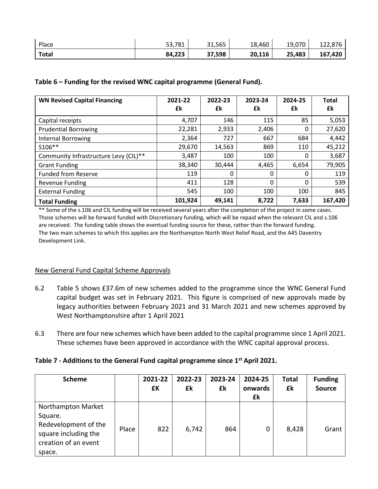| <b>Place</b> | 53,781 | 31,565 | 18,460 | 19,070 | 122,876 |
|--------------|--------|--------|--------|--------|---------|
| Total        | 84,223 | 37,598 | 20,116 | 25,483 | 167,420 |

#### **Table 6 – Funding for the revised WNC capital programme (General Fund).**

| <b>WN Revised Capital Financing</b>   | 2021-22 | 2022-23 | 2023-24 | 2024-25 | <b>Total</b> |
|---------------------------------------|---------|---------|---------|---------|--------------|
|                                       | £k      | £k      | £k      | £k      | £k           |
| Capital receipts                      | 4,707   | 146     | 115     | 85      | 5,053        |
| <b>Prudential Borrowing</b>           | 22,281  | 2,933   | 2,406   | 0       | 27,620       |
| <b>Internal Borrowing</b>             | 2,364   | 727     | 667     | 684     | 4,442        |
| S106**                                | 29,670  | 14,563  | 869     | 110     | 45,212       |
| Community Infrastructure Levy (CIL)** | 3,487   | 100     | 100     | 0       | 3,687        |
| <b>Grant Funding</b>                  | 38,340  | 30,444  | 4,465   | 6,654   | 79,905       |
| <b>Funded from Reserve</b>            | 119     | 0       | 0       | 0       | 119          |
| <b>Revenue Funding</b>                | 411     | 128     | 0       | 0       | 539          |
| <b>External Funding</b>               | 545     | 100     | 100     | 100     | 845          |
| <b>Total Funding</b>                  | 101,924 | 49,141  | 8,722   | 7,633   | 167,420      |

\*\* Some of the s.106 and CIL funding will be received several years after the completion of the project in some cases. Those schemes will be forward funded with Discretionary funding, which will be repaid when the relevant CIL and s.106 are received. The funding table shows the eventual funding source for these, rather than the forward funding. The two main schemes to which this applies are the Northampton North West Relief Road, and the A45 Daventry Development Link.

#### New General Fund Capital Scheme Approvals

- 6.2 Table 5 shows £37.6m of new schemes added to the programme since the WNC General Fund capital budget was set in February 2021. This figure is comprised of new approvals made by legacy authorities between February 2021 and 31 March 2021 and new schemes approved by West Northamptonshire after 1 April 2021
- 6.3 There are four new schemes which have been added to the capital programme since 1 April 2021. These schemes have been approved in accordance with the WNC capital approval process.

# **Table 7 - Additions to the General Fund capital programme since 1st April 2021.**

| <b>Scheme</b>                                                                                                   |       | 2021-22<br>£K | 2022-23<br>£k | 2023-24<br>£k | 2024-25<br>onwards<br>£k | <b>Total</b><br>£k | <b>Funding</b><br><b>Source</b> |
|-----------------------------------------------------------------------------------------------------------------|-------|---------------|---------------|---------------|--------------------------|--------------------|---------------------------------|
| Northampton Market<br>Square.<br>Redevelopment of the<br>square including the<br>creation of an event<br>space. | Place | 822           | 6,742         | 864           | 0                        | 8,428              | Grant                           |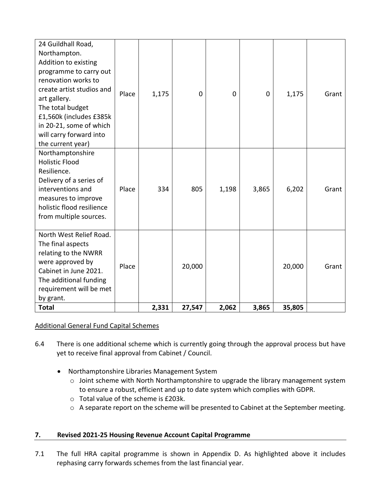| <b>Holistic Flood</b><br>Resilience.<br>Delivery of a series of<br>interventions and<br>Place<br>334<br>805<br>3,865<br>6,202<br>1,198<br>measures to improve<br>holistic flood resilience<br>from multiple sources.<br>North West Relief Road.<br>The final aspects<br>relating to the NWRR<br>were approved by<br>Place<br>20,000<br>20,000<br>Cabinet in June 2021.<br>The additional funding<br>requirement will be met<br>by grant. | 24 Guildhall Road,<br>Northampton.<br>Addition to existing<br>programme to carry out<br>renovation works to<br>create artist studios and<br>art gallery.<br>The total budget<br>£1,560k (includes £385k<br>in 20-21, some of which<br>will carry forward into<br>the current year) | Place | 1,175 | $\mathbf{0}$ | $\Omega$ | 0 | 1,175 | Grant |
|------------------------------------------------------------------------------------------------------------------------------------------------------------------------------------------------------------------------------------------------------------------------------------------------------------------------------------------------------------------------------------------------------------------------------------------|------------------------------------------------------------------------------------------------------------------------------------------------------------------------------------------------------------------------------------------------------------------------------------|-------|-------|--------------|----------|---|-------|-------|
|                                                                                                                                                                                                                                                                                                                                                                                                                                          | Northamptonshire                                                                                                                                                                                                                                                                   |       |       |              |          |   |       | Grant |
| 2,331<br>27,547<br>2,062<br>3,865<br>35,805<br><b>Total</b>                                                                                                                                                                                                                                                                                                                                                                              |                                                                                                                                                                                                                                                                                    |       |       |              |          |   |       | Grant |

# Additional General Fund Capital Schemes

- 6.4 There is one additional scheme which is currently going through the approval process but have yet to receive final approval from Cabinet / Council.
	- Northamptonshire Libraries Management System
		- o Joint scheme with North Northamptonshire to upgrade the library management system to ensure a robust, efficient and up to date system which complies with GDPR.
		- o Total value of the scheme is £203k.
		- o A separate report on the scheme will be presented to Cabinet at the September meeting.

# **7. Revised 2021-25 Housing Revenue Account Capital Programme**

7.1 The full HRA capital programme is shown in Appendix D. As highlighted above it includes rephasing carry forwards schemes from the last financial year.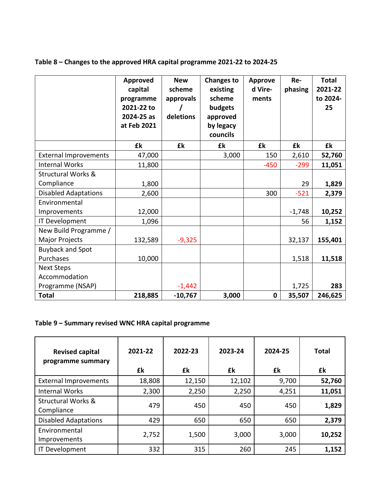|                               | <b>Approved</b><br>capital<br>programme<br>2021-22 to<br>2024-25 as<br>at Feb 2021 | <b>New</b><br>scheme<br>approvals<br>deletions | <b>Changes to</b><br>existing<br>scheme<br>budgets<br>approved<br>by legacy<br>councils | <b>Approve</b><br>d Vire-<br>ments | Re-<br>phasing | <b>Total</b><br>2021-22<br>to 2024-<br>25 |
|-------------------------------|------------------------------------------------------------------------------------|------------------------------------------------|-----------------------------------------------------------------------------------------|------------------------------------|----------------|-------------------------------------------|
|                               | £k                                                                                 | £k                                             | £k                                                                                      | £k                                 | £k             | £k                                        |
| <b>External Improvements</b>  | 47,000                                                                             |                                                | 3,000                                                                                   | 150                                | 2,610          | 52,760                                    |
| <b>Internal Works</b>         | 11,800                                                                             |                                                |                                                                                         | $-450$                             | $-299$         | 11,051                                    |
| <b>Structural Works &amp;</b> |                                                                                    |                                                |                                                                                         |                                    |                |                                           |
| Compliance                    | 1,800                                                                              |                                                |                                                                                         |                                    | 29             | 1,829                                     |
| <b>Disabled Adaptations</b>   | 2,600                                                                              |                                                |                                                                                         | 300                                | $-521$         | 2,379                                     |
| Environmental                 |                                                                                    |                                                |                                                                                         |                                    |                |                                           |
| Improvements                  | 12,000                                                                             |                                                |                                                                                         |                                    | $-1,748$       | 10,252                                    |
| IT Development                | 1,096                                                                              |                                                |                                                                                         |                                    | 56             | 1,152                                     |
| New Build Programme /         |                                                                                    |                                                |                                                                                         |                                    |                |                                           |
| Major Projects                | 132,589                                                                            | $-9,325$                                       |                                                                                         |                                    | 32,137         | 155,401                                   |
| <b>Buyback and Spot</b>       |                                                                                    |                                                |                                                                                         |                                    |                |                                           |
| Purchases                     | 10,000                                                                             |                                                |                                                                                         |                                    | 1,518          | 11,518                                    |
| <b>Next Steps</b>             |                                                                                    |                                                |                                                                                         |                                    |                |                                           |
| Accommodation                 |                                                                                    |                                                |                                                                                         |                                    |                |                                           |
| Programme (NSAP)              |                                                                                    | $-1,442$                                       |                                                                                         |                                    | 1,725          | 283                                       |
| <b>Total</b>                  | 218,885                                                                            | $-10,767$                                      | 3,000                                                                                   | $\mathbf 0$                        | 35,507         | 246,625                                   |

# **Table 8 – Changes to the approved HRA capital programme 2021-22 to 2024-25**

# **Table 9 – Summary revised WNC HRA capital programme**

| <b>Revised capital</b><br>programme summary | 2021-22<br>£k | 2022-23<br>£k | 2023-24<br>£k | 2024-25<br>£k | <b>Total</b><br>£k |
|---------------------------------------------|---------------|---------------|---------------|---------------|--------------------|
| <b>External Improvements</b>                | 18,808        | 12,150        | 12,102        | 9,700         | 52,760             |
| <b>Internal Works</b>                       | 2,300         | 2,250         | 2,250         | 4,251         | 11,051             |
| <b>Structural Works &amp;</b><br>Compliance | 479           | 450           | 450           | 450           | 1,829              |
| <b>Disabled Adaptations</b>                 | 429           | 650           | 650           | 650           | 2,379              |
| Environmental<br>Improvements               | 2,752         | 1,500         | 3,000         | 3,000         | 10,252             |
| IT Development                              | 332           | 315           | 260           | 245           | 1,152              |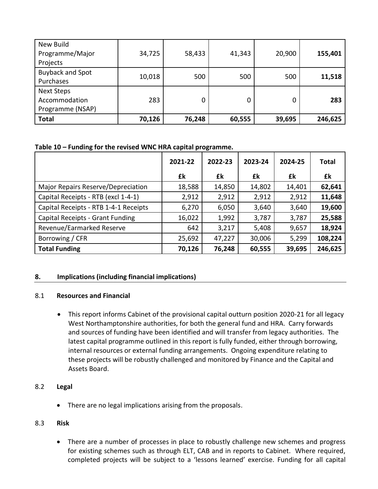| New Build<br>Programme/Major<br>Projects               | 34,725 | 58,433 | 41,343 | 20,900 | 155,401 |
|--------------------------------------------------------|--------|--------|--------|--------|---------|
| <b>Buyback and Spot</b><br>Purchases                   | 10,018 | 500    | 500    | 500    | 11,518  |
| <b>Next Steps</b><br>Accommodation<br>Programme (NSAP) | 283    | 0      | Ω      | 0      | 283     |
| <b>Total</b>                                           | 70,126 | 76,248 | 60,555 | 39,695 | 246,625 |

**Table 10 – Funding for the revised WNC HRA capital programme.**

|                                       | 2021-22 | 2022-23 | 2023-24 | 2024-25 | <b>Total</b> |
|---------------------------------------|---------|---------|---------|---------|--------------|
|                                       | £k      | £k      | £k      | £k      | £k           |
| Major Repairs Reserve/Depreciation    | 18,588  | 14,850  | 14,802  | 14,401  | 62,641       |
| Capital Receipts - RTB (excl 1-4-1)   | 2,912   | 2,912   | 2,912   | 2,912   | 11,648       |
| Capital Receipts - RTB 1-4-1 Receipts | 6,270   | 6,050   | 3,640   | 3,640   | 19,600       |
| Capital Receipts - Grant Funding      | 16,022  | 1,992   | 3,787   | 3,787   | 25,588       |
| Revenue/Earmarked Reserve             | 642     | 3,217   | 5,408   | 9,657   | 18,924       |
| Borrowing / CFR                       | 25,692  | 47,227  | 30,006  | 5,299   | 108,224      |
| <b>Total Funding</b>                  | 70,126  | 76,248  | 60,555  | 39,695  | 246,625      |

# **8. Implications (including financial implications)**

#### 8.1 **Resources and Financial**

 This report informs Cabinet of the provisional capital outturn position 2020-21 for all legacy West Northamptonshire authorities, for both the general fund and HRA. Carry forwards and sources of funding have been identified and will transfer from legacy authorities. The latest capital programme outlined in this report is fully funded, either through borrowing, internal resources or external funding arrangements. Ongoing expenditure relating to these projects will be robustly challenged and monitored by Finance and the Capital and Assets Board.

#### 8.2 **Legal**

There are no legal implications arising from the proposals.

# 8.3 **Risk**

• There are a number of processes in place to robustly challenge new schemes and progress for existing schemes such as through ELT, CAB and in reports to Cabinet. Where required, completed projects will be subject to a 'lessons learned' exercise. Funding for all capital